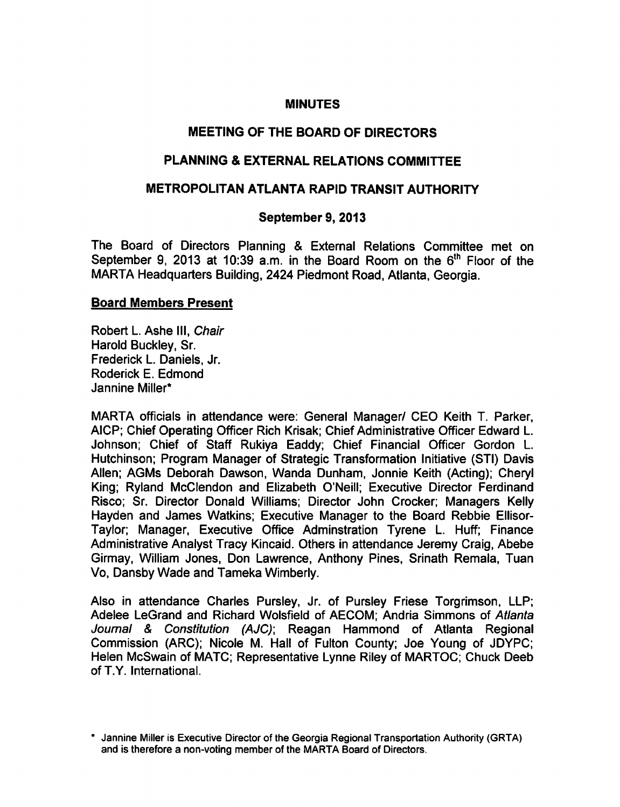#### **MINUTES**

# MEETING OF THE BOARD OF DIRECTORS

# PLANNING & EXTERNAL RELATIONS COMMITTEE

## METROPOLITAN ATLANTA RAPID TRANSIT AUTHORITY

## September 9, 2013

The Board of Directors Planning & External Relations Committee met on September 9, 2013 at 10:39 a.m. in the Board Room on the  $6<sup>th</sup>$  Floor of the MARTA Headquarters Building, 2424 Piedmont Road, Atlanta, Georgia.

## Board Members Present

Robert L. Ashe III, Chair Harold Buckley, Sr. Frederick L. Daniels, Jr. Roderick E. Edmond Jannine Miller\*

MARTA officials in attendance were: General Manager/ CEO Keith T. Parker, AlCP; Chief Operating Officer Rich Krisak; Chief Administrative Officer Edward L. Johnson; Chief of Staff Rukiya Eaddy; Chief Financial Officer Gordon L. Hutchinson; Program Manager of Strategic Transformation Initiative (STI) Davis Allen; AGMs Deborah Dawson, Wanda Dunham, Jonnie Keith (Acting); Cheryl King; Ryland McClendon and Elizabeth O'Neill; Executive Director Ferdinand Risco; Sr. Director Donald Williams; Director John Crocker; Managers Kelly Hayden and James Watkins; Executive Manager to the Board Rebbie Ellisor-Taylor; Manager, Executive Office Adminstration Tyrene L. Huff; Finance Administrative Analyst Tracy Kincaid. Others in attendance Jeremy Craig, Abebe Girmay, William Jones, Don Lawrence, Anthony Pines, Srinath Remala, Tuan Vo, Dansby Wade and Tameka Wimberly.

Also in attendance Charles Pursley, Jr. of Pursley Friese Torgrimson, LLP; Adelee LeGrand and Richard Wolsfield of AECOM; Andria Simmons of Atlanta Journal & Constitution (AJC); Reagan Hammond of Atlanta Regional Commission (ARC); Nicole M. Hall of Fulton County; Joe Young of JDYPC; Helen McSwain of MATC; Representative Lynne Riley of MARTOC; Chuck Deeb of T.Y. International.

Jannine Miller is Executive Director of the Georgia Regional Transportation Authority (GRTA) and is therefore a non-voting member of the MARTA Board of Directors.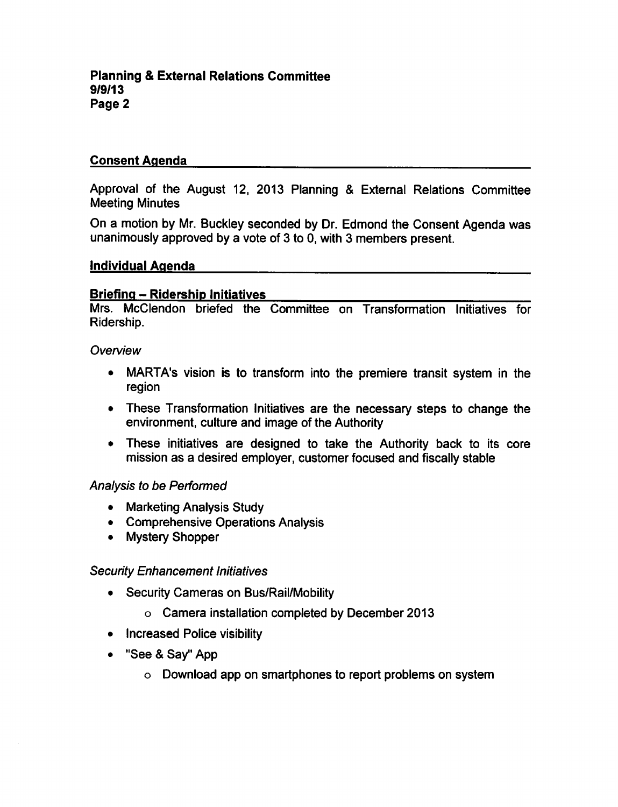# Consent Agenda

Approval of the August 12, 2013 Planning & External Relations Committee Meeting Minutes

On a motion by Mr. Buckley seconded by Dr. Edmond the Consent Agenda was unanimously approved by a vote of  $3$  to 0, with  $3$  members present.

## Individual Agenda

## Briefing - Ridership Initiatives

Mrs. McClendon briefed the Committee on Transformation Initiatives for Ridership.

**Overview** 

- MARTA's vision is to transform into the premiere transit system in the region
- These Transformation Initiatives are the necessary steps to change the environment, culture and image of the Authority
- These initiatives are designed to take the Authority back to its core mission as desired employer, customer focused and fiscally stable

# Analysis to be Performed

- Marketing Analysis Study
- Comprehensive Operations Analysis
- Mystery Shopper

# Security Enhancement Initiatives

- Security Cameras on Bus/Rail/Mobility
	- Camera installation completed by December 2013
- Increased Police visibility
- "See & Say" App
	- Download app on smartphones to report problems on system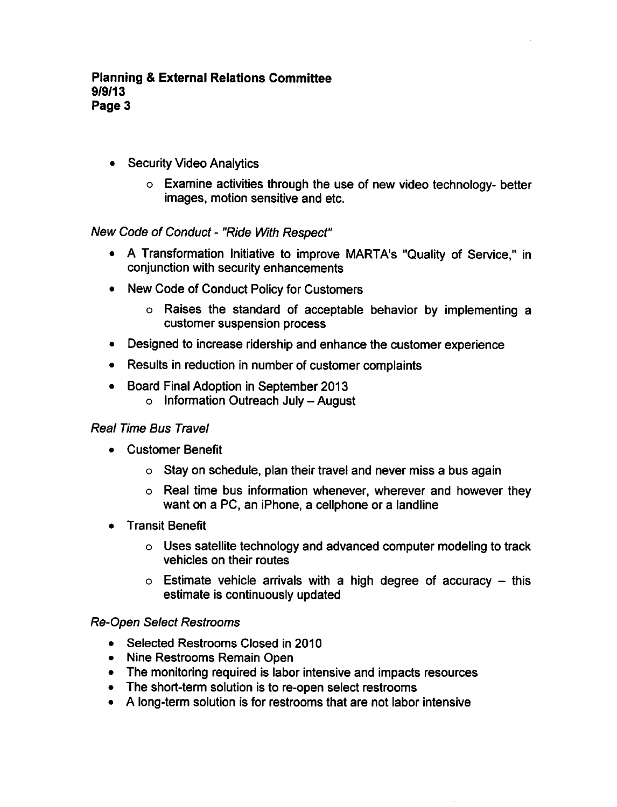- Security Video Analytics
	- Examine activities through the use of new video technology- better images, motion sensitive and etc.

# New Code of Conduct - "Ride With Respect"

- A Transformation Initiative to improve MARTA's "Quality of Service," in conjunction with security enhancements
- New Code of Conduct Policy for Customers
	- o Raises the standard of acceptable behavior by implementing customer suspension process
- Designed to increase ridership and enhance the customer experience
- Results in reduction in number of customer complaints
- Board Final Adoption in September 2013  $\circ$  Information Outreach July - August

# Real Time Bus Travel

- Customer Benefit
	- $\circ$  Stay on schedule, plan their travel and never miss a bus again
	- $\circ$  Real time bus information whenever, wherever and however they want on a PC, an iPhone, a cellphone or a landline
- Transit Benefit
	- Uses satellite technology and advanced computer modeling to track vehicles on their routes
	- $\circ$  Estimate vehicle arrivals with a high degree of accuracy this estimate is continuously updated

# Re-Open Select Restrooms

- Selected Restrooms Closed in 2010
- Nine Restrooms Remain Open
- The monitoring required is labor intensive and impacts resources
- The short-term solution is to re-open select restrooms
- A long-term solution is for restrooms that are not labor intensive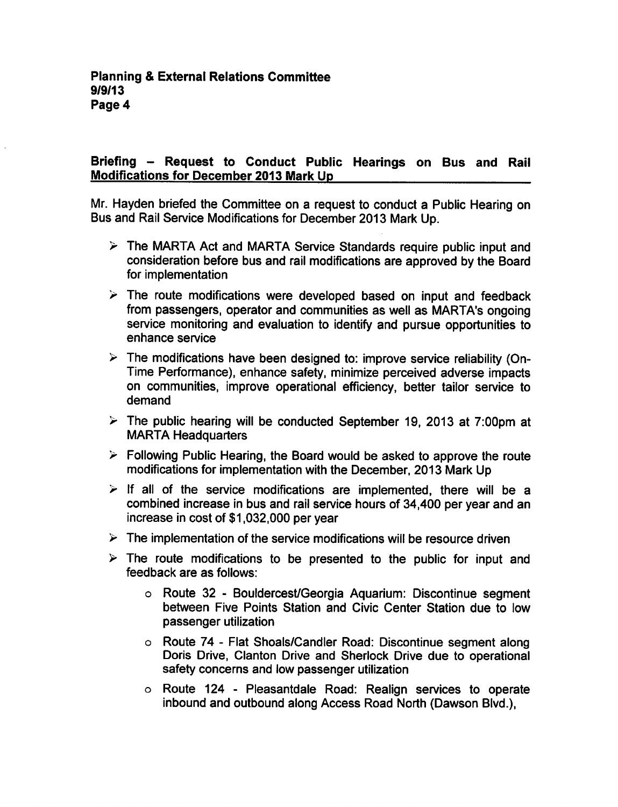# Briefing – Request to Conduct Public Hearings on Bus and Rail Modifications for December 2013 Mark Up

Mr. Hayden briefed the Committee on a request to conduct a Public Hearing on Bus and Rail Service Modifications for December 2013 Mark Up.

- $\triangleright$  The MARTA Act and MARTA Service Standards require public input and consideration before bus and rail modifications are approved by the Board for implementation
- $\triangleright$  The route modifications were developed based on input and feedback from passengers, operator and communities as well as MARTA's ongoing service monitoring and evaluation to identify and pursue opportunities to enhance service
- $\triangleright$  The modifications have been designed to: improve service reliability (On-Time Performance), enhance safety, minimize perceived adverse impacts on communities, improve operational efficiency, better tailor service to demand
- $\geq$  The public hearing will be conducted September 19, 2013 at 7:00pm at MARTA Headquarters
- $\triangleright$  Following Public Hearing, the Board would be asked to approve the route modifications for implementation with the December, 2013 Mark Up
- $\triangleright$  If all of the service modifications are implemented, there will be a combined increase in bus and rail service hours of 34,400 per year and an increase in cost of \$1,032,000 per year
- $\triangleright$  The implementation of the service modifications will be resource driven
- $\triangleright$  The route modifications to be presented to the public for input and feedback are as follows:
	- o Route 32 Bouldercest/Georgia Aquarium: Discontinue segment between Five Points Station and Civic Center Station due to low passenger utilization
	- Route 74 Flat Shoals/Candler Road: Discontinue segment along Doris Drive, Clanton Drive and Sherlock Drive due to operational safety concerns and low passenger utilization
	- Route 124 Pleasantdale Road: Realign services to operate inbound and outbound along Access Road North (Dawson Blvd.),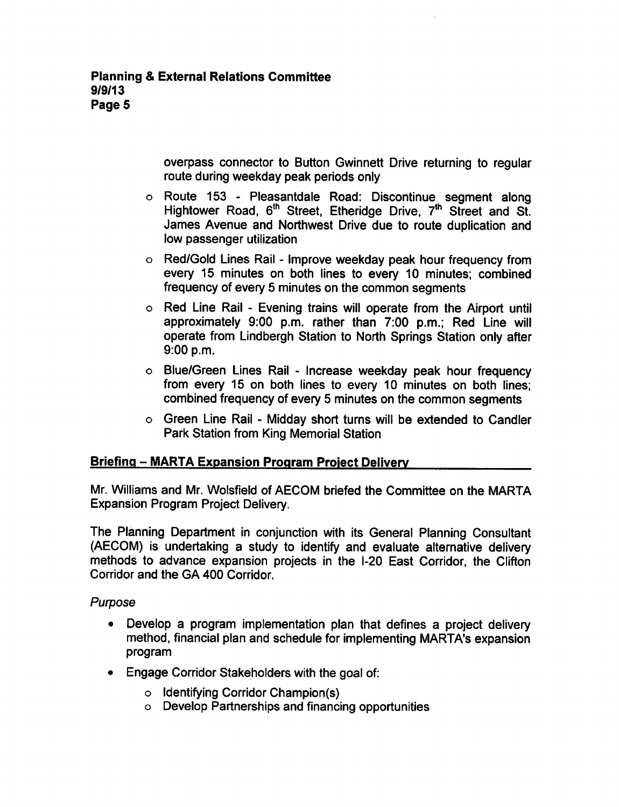overpass connector to Button Gwinnett Drive returning to regular route during weekday peak periods only

- o Route 153 Pleasantdale Road: Discontinue segment along Hightower Road, 6<sup>th</sup> Street, Etheridge Drive, 7<sup>th</sup> Street and St. James Avenue and Northwest Drive due to route duplication and low passenger utilization
- o Red/Gold Lines Rail Improve weekday peak hour frequency from every 15 minutes on both lines to every 10 minutes; combined frequency of every 5 minutes on the common segments
- $\circ$  Red Line Rail Evening trains will operate from the Airport until approximately 9:00 p.m. rather than 7:00 p.m.; Red Line will operate from Lindbergh Station to North Springs Station only after 9:00 p.m.
- o Blue/Green Lines Rail Increase weekday peak hour frequency from every 15 on both lines to every 10 minutes on both lines; combined frequency of every 5 minutes on the common segments
- $\circ$  Green Line Rail Midday short turns will be extended to Candler Park Station from King Memorial Station

# Briefing - MARTA Expansion Program Project Delivery

Mr. Williams and Mr. Wolsfield of AECOM briefed the Committee on the MARTA Expansion Program Project Delivery.

The Planning Department in conjunction with its General Planning Consultant (AECOM) is undertaking a study to identify and evaluate alternative delivery methods to advance expansion projects in the I-20 East Corridor, the Clifton Corridor and the GA 400 Corridor.

# Purpose

- Develop a program implementation plan that defines a project delivery method, financial plan and schedule for implementing MARTA's expansion program
- Engage Corridor Stakeholders with the goal of:
	- $\circ$  Identifying Corridor Champion(s)
	- Develop Partnerships and financing opportunities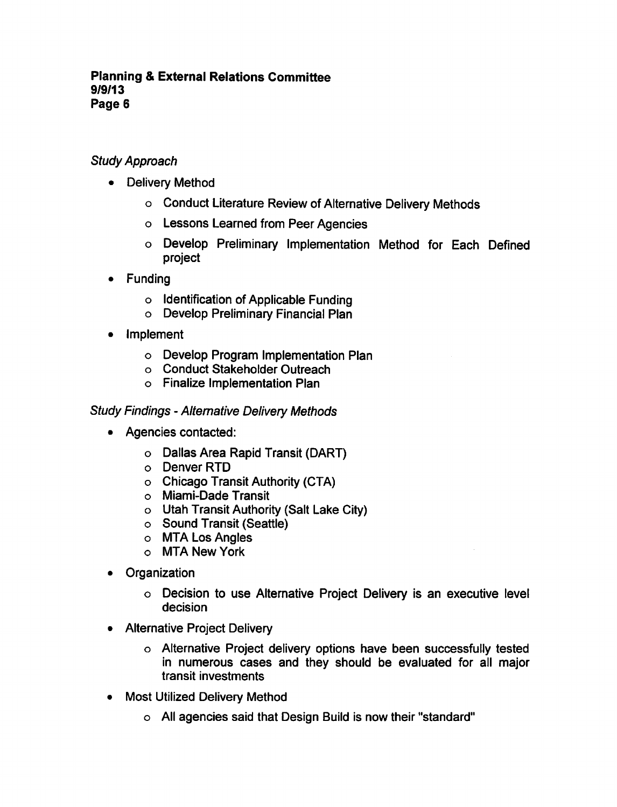## **Planning & External Relations Committee** 9/9/13 Page 6

# Study Approach

- Delivery Method
	- Conduct Literature Review of Alternative Delivery Methods
	- Lessons Learned from Peer Agencies
	- Develop Preliminary Implementation Method for Each Defined project
- Funding
	- o Identification of Applicable Funding
	- Develop Preliminary Financial Plan
- Implement
	- Develop Program Implementation Plan
	- Conduct Stakeholder Outreach
	- Finalize Implementation Plan

# Study Findings - Alternative Delivery Methods

- Agencies contacted:
	- Dallas Area Rapid Transit (DART)
	- Denver RTD
	- Chicago Transit Authority (CTA)
	- Miami-Dade Transit
	- Utah Transit Authority (Salt Lake City)
	- $\circ$  Sound Transit (Seattle)
	- MTA Los Angles
	- MTA New York
- Organization
	- Decision to use Alternative Project Delivery is an executive level decision
- Alternative Project Delivery
	- Alternative Project delivery options have been successfully tested in numerous cases and they should be evaluated for all major transit investments
- Most Utilized Delivery Method
	- All agencies said that Design Build is now their "standard"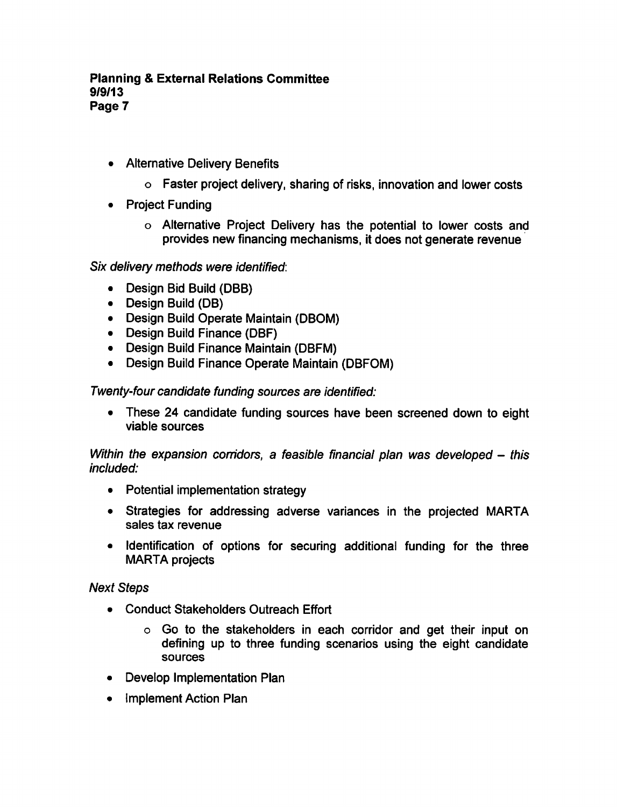- Alternative Delivery Benefits
	- Faster project delivery, sharing of risks, innovation and lower costs
- Project Funding
	- Alternative Project Delivery has the potential to lower costs and provides new financing mechanisms, it does not generate revenue

Six delivery methods were identified:

- Design Bid Build (DBB)
- Design Build (DB)
- Design Build Operate Maintain (DBOM)
- Design Build Finance (DBF)
- Design Build Finance Maintain (DBFM)
- Design Build Finance Operate Maintain (DBFOM)

Twenty-four candidate funding sources are identified:

These 24 candidate funding sources have been screened down to eight viable sources

Within the expansion corridors, a feasible financial plan was developed  $-$  this included:

- Potential implementation strategy
- Strategies for addressing adverse variances in the projected MARTA sales tax revenue
- Identification of options for securing additional funding for the three MARTA projects

Next Steps

- Conduct Stakeholders Outreach Effort
	- Go to the stakeholders in each corridor and get their input on defining up to three funding scenarios using the eight candidate sources
- Develop Implementation Plan
- Implement Action Plan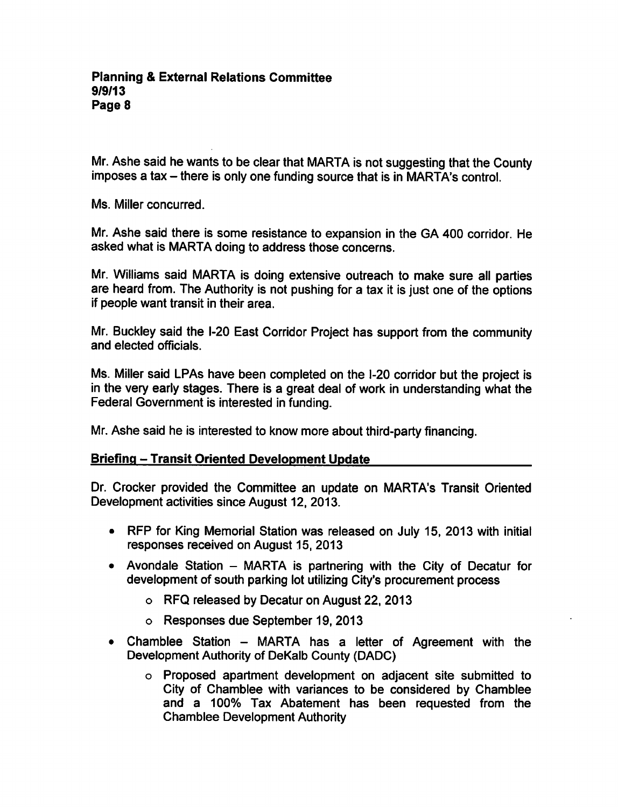Mr. Ashe said he wants to be clear that MARTA is not suggesting that the County imposes a tax  $-$  there is only one funding source that is in MARTA's control.

Ms. Miller concurred.

Mr. Ashe said there is some resistance to expansion in the GA 400 corridor. He asked what is MARTA doing to address those concerns.

Mr. Williams said MARTA is doing extensive outreach to make sure all parties are heard from. The Authority is not pushing for a tax it is just one of the options if people want transit in their area.

Mr. Buckley said the I-20 East Corridor Project has support from the community and elected officials.

Ms. Miller said LPAs have been completed on the I-20 corridor but the project is in the very early stages. There is a great deal of work in understanding what the Federal Government is interested in funding.

Mr. Ashe said he is interested to know more about third-party financing.

# Briefing - Transit Oriented Development Update

Dr. Crocker provided the Committee an update on MARTA's Transit Oriented Development activities since August 12, 2013.

- RFP for King Memorial Station was released on July 15, 2013 with initial responses received on August 15, 2013
- Avondale Station  $-$  MARTA is partnering with the City of Decatur for development of south parking lot utilizing City's procurement process
	- RFQ released by Decatur on August 22, 2013
	- Responses due September 19, 2013
- Chamblee Station  $-$  MARTA has a letter of Agreement with the Development Authority of DeKalb County (DADC)
	- Proposed apartment development on adjacent site submitted to City of Chamblee with variances to be considered by Chamblee and a 100% Tax Abatement has been requested from the Chamblee Development Authority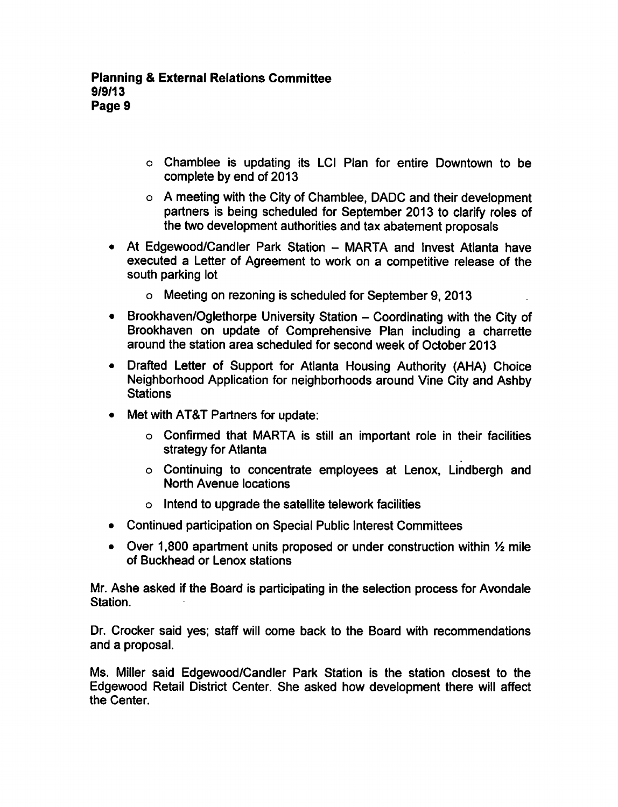- Chamblee is updating its LCI Plan for entire Downtown to be complete by end of 2013
- o A meeting with the City of Chamblee, DADC and their development partners is being scheduled for September 2013 to clarify roles of the two development authorities and tax abatement proposals
- At Edgewood/Candler Park Station MARTA and Invest Atlanta have executed a Letter of Agreement to work on a competitive release of the south parking lot
	- Meeting on rezoning is scheduled for September 9, 2013
- Brookhaven/Oglethorpe University Station Coordinating with the City of Brookhaven on update of Comprehensive Plan including a charrette around the station area scheduled for second week of October 2013
- Drafted Letter of Support for Atlanta Housing Authority (AHA) Choice Neighborhood Application for neighborhoods around Vine City and Ashby **Stations**
- Met with AT&T Partners for update:
	- Confirmed that MARTA is still an important role in their facilities strategy for Atlanta
	- Continuing to concentrate employees at Lenox, Lindbergh and North Avenue locations
	- $\circ$  Intend to upgrade the satellite telework facilities
- Continued participation on Special Public Interest Committees
- Over 1,800 apartment units proposed or under construction within  $\frac{1}{2}$  mile of Buckhead or Lenox stations

Mr. Ashe asked if the Board is participating in the selection process for Avondale Station.

Dr. Crocker said yes; staff will come back to the Board with recommendations and a proposal.

Ms. Miller said Edgewood/Candler Park Station is the station closest to the Edgewood Retail District Center. She asked how development there will affect the Center.